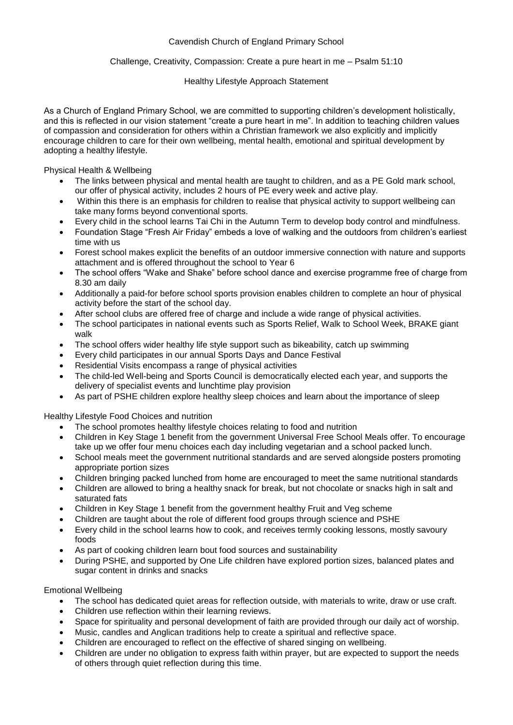# Cavendish Church of England Primary School

## Challenge, Creativity, Compassion: Create a pure heart in me – Psalm 51:10

#### Healthy Lifestyle Approach Statement

As a Church of England Primary School, we are committed to supporting children's development holistically, and this is reflected in our vision statement "create a pure heart in me". In addition to teaching children values of compassion and consideration for others within a Christian framework we also explicitly and implicitly encourage children to care for their own wellbeing, mental health, emotional and spiritual development by adopting a healthy lifestyle.

Physical Health & Wellbeing

- The links between physical and mental health are taught to children, and as a PE Gold mark school, our offer of physical activity, includes 2 hours of PE every week and active play.
- Within this there is an emphasis for children to realise that physical activity to support wellbeing can take many forms beyond conventional sports.
- Every child in the school learns Tai Chi in the Autumn Term to develop body control and mindfulness.
- Foundation Stage "Fresh Air Friday" embeds a love of walking and the outdoors from children's earliest time with us
- Forest school makes explicit the benefits of an outdoor immersive connection with nature and supports attachment and is offered throughout the school to Year 6
- The school offers "Wake and Shake" before school dance and exercise programme free of charge from 8.30 am daily
- Additionally a paid-for before school sports provision enables children to complete an hour of physical activity before the start of the school day.
- After school clubs are offered free of charge and include a wide range of physical activities.
- The school participates in national events such as Sports Relief, Walk to School Week, BRAKE giant walk
- The school offers wider healthy life style support such as bikeability, catch up swimming
- Every child participates in our annual Sports Days and Dance Festival
- Residential Visits encompass a range of physical activities
- The child-led Well-being and Sports Council is democratically elected each year, and supports the delivery of specialist events and lunchtime play provision
- As part of PSHE children explore healthy sleep choices and learn about the importance of sleep

Healthy Lifestyle Food Choices and nutrition

- The school promotes healthy lifestyle choices relating to food and nutrition
- Children in Key Stage 1 benefit from the government Universal Free School Meals offer. To encourage take up we offer four menu choices each day including vegetarian and a school packed lunch.
- School meals meet the government nutritional standards and are served alongside posters promoting appropriate portion sizes
- Children bringing packed lunched from home are encouraged to meet the same nutritional standards
- Children are allowed to bring a healthy snack for break, but not chocolate or snacks high in salt and saturated fats
- Children in Key Stage 1 benefit from the government healthy Fruit and Veg scheme
- Children are taught about the role of different food groups through science and PSHE
- Every child in the school learns how to cook, and receives termly cooking lessons, mostly savoury foods
- As part of cooking children learn bout food sources and sustainability
- During PSHE, and supported by One Life children have explored portion sizes, balanced plates and sugar content in drinks and snacks

## Emotional Wellbeing

- The school has dedicated quiet areas for reflection outside, with materials to write, draw or use craft.
- Children use reflection within their learning reviews.
- Space for spirituality and personal development of faith are provided through our daily act of worship.
- Music, candles and Anglican traditions help to create a spiritual and reflective space.
- Children are encouraged to reflect on the effective of shared singing on wellbeing.
- Children are under no obligation to express faith within prayer, but are expected to support the needs of others through quiet reflection during this time.